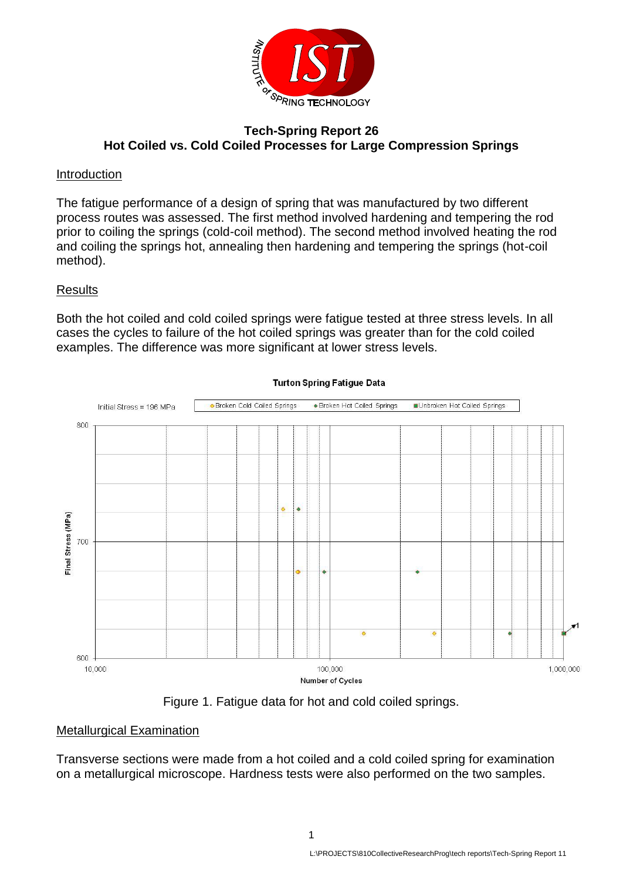

### **Tech-Spring Report 26 Hot Coiled vs. Cold Coiled Processes for Large Compression Springs**

### Introduction

The fatigue performance of a design of spring that was manufactured by two different process routes was assessed. The first method involved hardening and tempering the rod prior to coiling the springs (cold-coil method). The second method involved heating the rod and coiling the springs hot, annealing then hardening and tempering the springs (hot-coil method).

## Results

Both the hot coiled and cold coiled springs were fatigue tested at three stress levels. In all cases the cycles to failure of the hot coiled springs was greater than for the cold coiled examples. The difference was more significant at lower stress levels.



**Turton Spring Fatigue Data** 



#### Metallurgical Examination

Transverse sections were made from a hot coiled and a cold coiled spring for examination on a metallurgical microscope. Hardness tests were also performed on the two samples.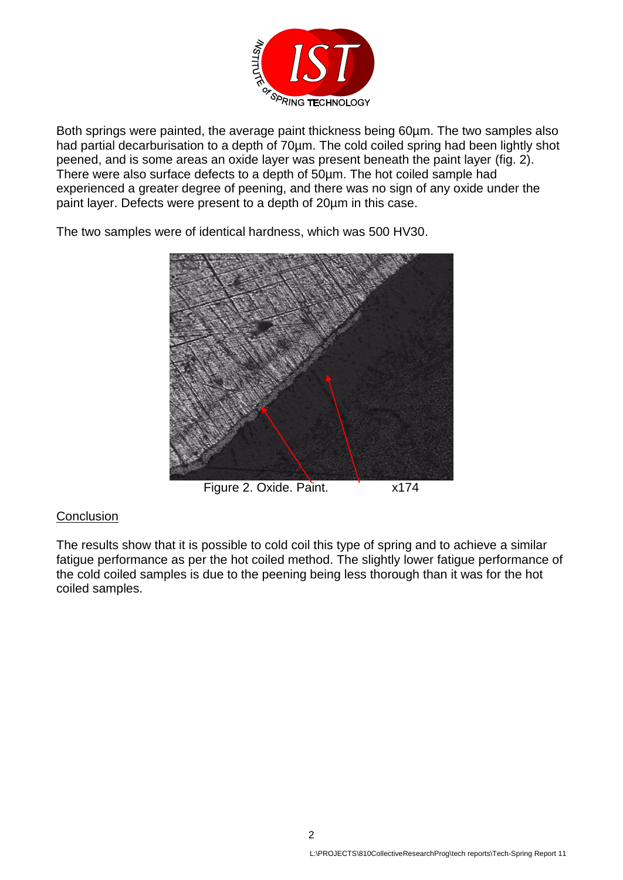

Both springs were painted, the average paint thickness being 60um. The two samples also had partial decarburisation to a depth of 70µm. The cold coiled spring had been lightly shot peened, and is some areas an oxide layer was present beneath the paint layer (fig. 2). There were also surface defects to a depth of 50µm. The hot coiled sample had experienced a greater degree of peening, and there was no sign of any oxide under the paint layer. Defects were present to a depth of 20µm in this case.

The two samples were of identical hardness, which was 500 HV30.



Figure 2. Oxide. Paint. x174

# **Conclusion**

The results show that it is possible to cold coil this type of spring and to achieve a similar fatigue performance as per the hot coiled method. The slightly lower fatigue performance of the cold coiled samples is due to the peening being less thorough than it was for the hot coiled samples.